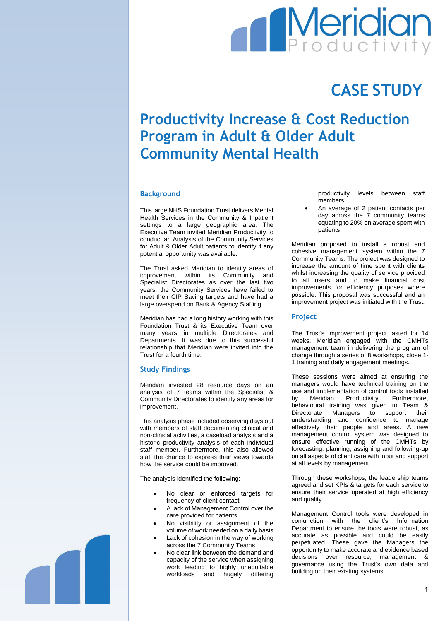# **Meridian**

## **CASE STUDY**

### **Productivity Increase & Cost Reduction Program in Adult & Older Adult Community Mental Health**

#### **Background**

This large NHS Foundation Trust delivers Mental Health Services in the Community & Inpatient settings to a large geographic area. The Executive Team invited Meridian Productivity to conduct an Analysis of the Community Services for Adult & Older Adult patients to identify if any potential opportunity was available.

The Trust asked Meridian to identify areas of improvement within its Community and Specialist Directorates as over the last two years, the Community Services have failed to meet their CIP Saving targets and have had a large overspend on Bank & Agency Staffing.

Meridian has had a long history working with this Foundation Trust & its Executive Team over many years in multiple Directorates and Departments. It was due to this successful relationship that Meridian were invited into the Trust for a fourth time.

#### **Study Findings**

Meridian invested 28 resource days on an analysis of 7 teams within the Specialist & Community Directorates to identify any areas for improvement.

This analysis phase included observing days out with members of staff documenting clinical and non-clinical activities, a caseload analysis and a historic productivity analysis of each individual staff member. Furthermore, this also allowed staff the chance to express their views towards how the service could be improved.

The analysis identified the following:

- No clear or enforced targets for frequency of client contact
- A lack of Management Control over the care provided for patients
- No visibility or assignment of the volume of work needed on a daily basis
- Lack of cohesion in the way of working across the 7 Community Teams
- No clear link between the demand and capacity of the service when assigning work leading to highly unequitable workloads and hugely differing

productivity levels between staff members

 An average of 2 patient contacts per day across the 7 community teams equating to 20% on average spent with patients

Meridian proposed to install a robust and cohesive management system within the 7 Community Teams. The project was designed to increase the amount of time spent with clients whilst increasing the quality of service provided to all users and to make financial cost improvements for efficiency purposes where possible. This proposal was successful and an improvement project was initiated with the Trust.

#### **Project**

The Trust's improvement project lasted for 14 weeks. Meridian engaged with the CMHTs management team in delivering the program of change through a series of 8 workshops, close 1- 1 training and daily engagement meetings.

These sessions were aimed at ensuring the managers would have technical training on the use and implementation of control tools installed<br>by Meridian Productivity. Furthermore. by Meridian Productivity. Furthermore, behavioural training was given to Team & Directorate Managers to support their understanding and confidence to manage effectively their people and areas. A new management control system was designed to ensure effective running of the CMHTs by forecasting, planning, assigning and following-up on all aspects of client care with input and support at all levels by management.

Through these workshops, the leadership teams agreed and set KPIs & targets for each service to ensure their service operated at high efficiency and quality.

Management Control tools were developed in conjunction with the client's Information Department to ensure the tools were robust, as accurate as possible and could be easily perpetuated. These gave the Managers the opportunity to make accurate and evidence based decisions over resource, management & governance using the Trust's own data and building on their existing systems.